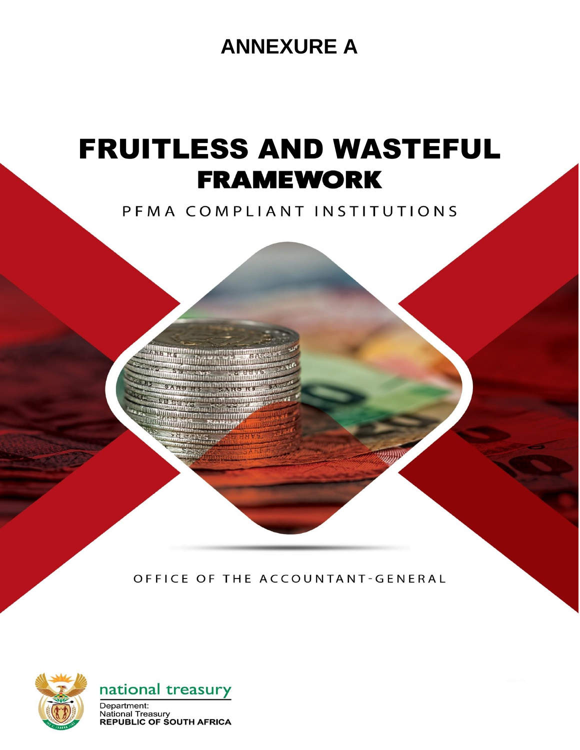## **ANNEXURE A**

# FRUITLESS AND WASTEFUL **FRAMEWORK**<br>PEMA COMPLIANT INSTITUTIONS

**SARD RS SARD** 

OFFICE OF THE ACCOUNTANT-GENERAL





**National Treasury REPUBLIC OF SOUTH AFRICA**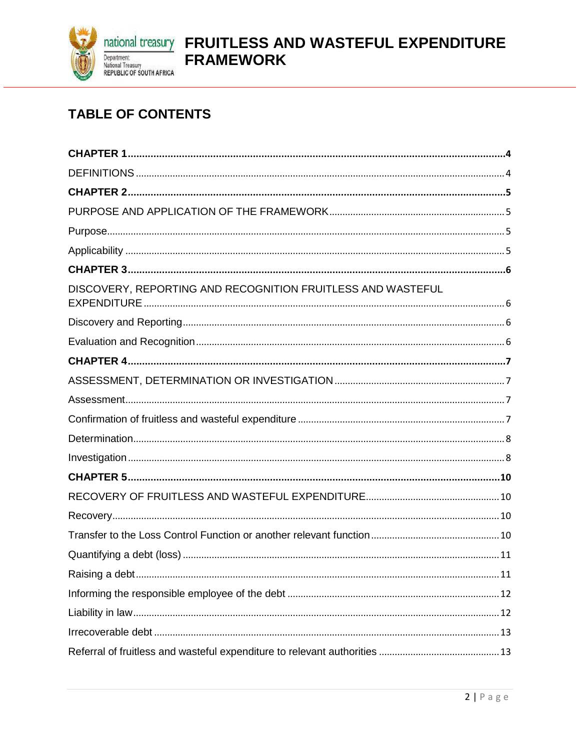

## national treasury FRUITLESS AND WASTEFUL EXPENDITURE **FRAMEWORK**

## **TABLE OF CONTENTS**

| DISCOVERY, REPORTING AND RECOGNITION FRUITLESS AND WASTEFUL |
|-------------------------------------------------------------|
|                                                             |
|                                                             |
|                                                             |
|                                                             |
|                                                             |
|                                                             |
|                                                             |
|                                                             |
|                                                             |
|                                                             |
|                                                             |
|                                                             |
|                                                             |
|                                                             |
|                                                             |
|                                                             |
|                                                             |
|                                                             |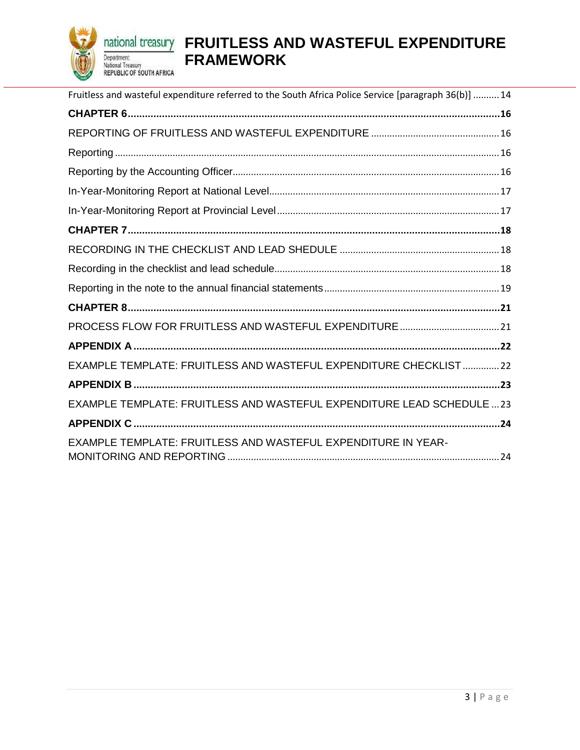

## **<u>national treasury</u>** FRUITLESS AND WASTEFUL EXPENDITURE **FRAMEWORK**

| Fruitless and wasteful expenditure referred to the South Africa Police Service [paragraph 36(b)]  14 |
|------------------------------------------------------------------------------------------------------|
|                                                                                                      |
|                                                                                                      |
|                                                                                                      |
|                                                                                                      |
|                                                                                                      |
|                                                                                                      |
|                                                                                                      |
|                                                                                                      |
|                                                                                                      |
|                                                                                                      |
|                                                                                                      |
|                                                                                                      |
|                                                                                                      |
| EXAMPLE TEMPLATE: FRUITLESS AND WASTEFUL EXPENDITURE CHECKLIST22                                     |
|                                                                                                      |
| EXAMPLE TEMPLATE: FRUITLESS AND WASTEFUL EXPENDITURE LEAD SCHEDULE  23                               |
|                                                                                                      |
| EXAMPLE TEMPLATE: FRUITLESS AND WASTEFUL EXPENDITURE IN YEAR-                                        |
|                                                                                                      |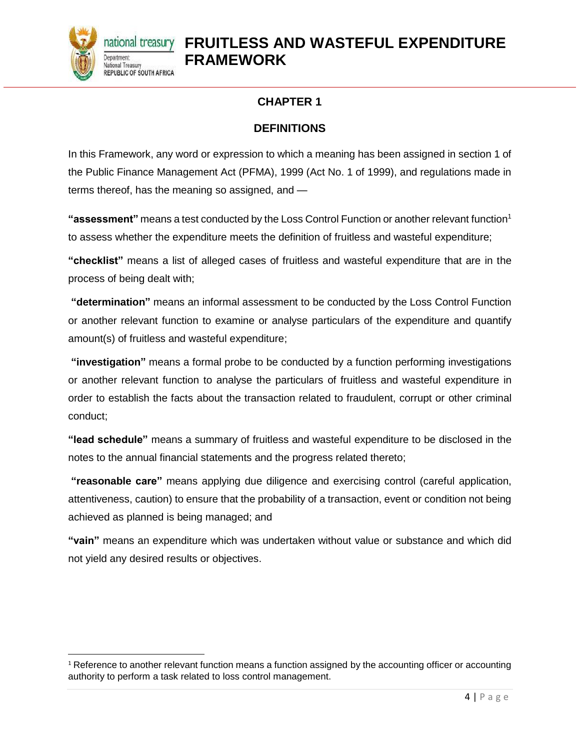

l

#### **CHAPTER 1**

#### **DEFINITIONS**

<span id="page-3-1"></span><span id="page-3-0"></span>In this Framework, any word or expression to which a meaning has been assigned in section 1 of the Public Finance Management Act (PFMA), 1999 (Act No. 1 of 1999), and regulations made in terms thereof, has the meaning so assigned, and —

**"assessment"** means a test conducted by the Loss Control Function or another relevant function<sup>1</sup> to assess whether the expenditure meets the definition of fruitless and wasteful expenditure;

**"checklist"** means a list of alleged cases of fruitless and wasteful expenditure that are in the process of being dealt with;

**"determination"** means an informal assessment to be conducted by the Loss Control Function or another relevant function to examine or analyse particulars of the expenditure and quantify amount(s) of fruitless and wasteful expenditure;

**"investigation"** means a formal probe to be conducted by a function performing investigations or another relevant function to analyse the particulars of fruitless and wasteful expenditure in order to establish the facts about the transaction related to fraudulent, corrupt or other criminal conduct;

**"lead schedule"** means a summary of fruitless and wasteful expenditure to be disclosed in the notes to the annual financial statements and the progress related thereto;

**"reasonable care"** means applying due diligence and exercising control (careful application, attentiveness, caution) to ensure that the probability of a transaction, event or condition not being achieved as planned is being managed; and

**"vain"** means an expenditure which was undertaken without value or substance and which did not yield any desired results or objectives.

 $1$  Reference to another relevant function means a function assigned by the accounting officer or accounting authority to perform a task related to loss control management.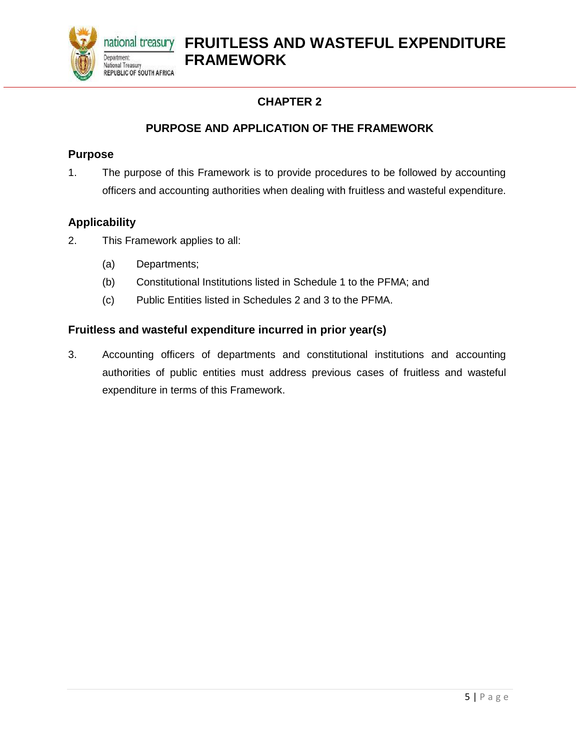

#### **PURPOSE AND APPLICATION OF THE FRAMEWORK**

#### <span id="page-4-2"></span><span id="page-4-1"></span><span id="page-4-0"></span>**Purpose**

1. The purpose of this Framework is to provide procedures to be followed by accounting officers and accounting authorities when dealing with fruitless and wasteful expenditure.

#### <span id="page-4-3"></span>**Applicability**

- 2. This Framework applies to all:
	- (a) Departments;
	- (b) Constitutional Institutions listed in Schedule 1 to the PFMA; and
	- (c) Public Entities listed in Schedules 2 and 3 to the PFMA.

#### **Fruitless and wasteful expenditure incurred in prior year(s)**

3. Accounting officers of departments and constitutional institutions and accounting authorities of public entities must address previous cases of fruitless and wasteful expenditure in terms of this Framework.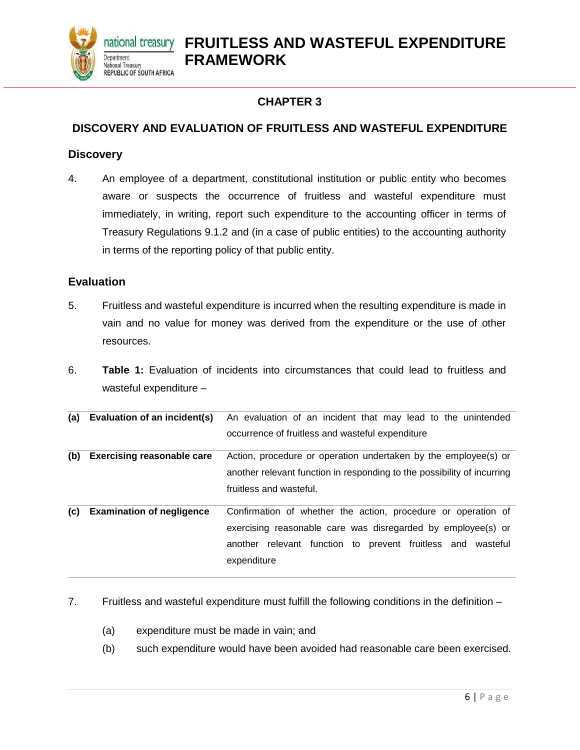

#### <span id="page-5-1"></span><span id="page-5-0"></span>**DISCOVERY AND EVALUATION OF FRUITLESS AND WASTEFUL EXPENDITURE**

#### <span id="page-5-2"></span>**Discovery**

4. An employee of a department, constitutional institution or public entity who becomes aware or suspects the occurrence of fruitless and wasteful expenditure must immediately, in writing, report such expenditure to the accounting officer in terms of Treasury Regulations 9.1.2 and (in a case of public entities) to the accounting authority in terms of the reporting policy of that public entity.

#### <span id="page-5-3"></span>**Evaluation**

- 5. Fruitless and wasteful expenditure is incurred when the resulting expenditure is made in vain and no value for money was derived from the expenditure or the use of other resources.
- 6. **Table 1:** Evaluation of incidents into circumstances that could lead to fruitless and wasteful expenditure –

| (a) | Evaluation of an incident(s)      | An evaluation of an incident that may lead to the unintended            |  |  |  |  |  |  |  |
|-----|-----------------------------------|-------------------------------------------------------------------------|--|--|--|--|--|--|--|
|     |                                   | occurrence of fruitless and wasteful expenditure                        |  |  |  |  |  |  |  |
| (b) | <b>Exercising reasonable care</b> | Action, procedure or operation undertaken by the employee(s) or         |  |  |  |  |  |  |  |
|     |                                   | another relevant function in responding to the possibility of incurring |  |  |  |  |  |  |  |
|     |                                   | fruitless and wasteful.                                                 |  |  |  |  |  |  |  |
| (c) | <b>Examination of negligence</b>  | Confirmation of whether the action, procedure or operation of           |  |  |  |  |  |  |  |
|     |                                   | exercising reasonable care was disregarded by employee(s) or            |  |  |  |  |  |  |  |
|     |                                   | another relevant function to prevent fruitless and<br>wasteful          |  |  |  |  |  |  |  |
|     |                                   | expenditure                                                             |  |  |  |  |  |  |  |

- 7. Fruitless and wasteful expenditure must fulfill the following conditions in the definition
	- (a) expenditure must be made in vain; and
	- (b) such expenditure would have been avoided had reasonable care been exercised.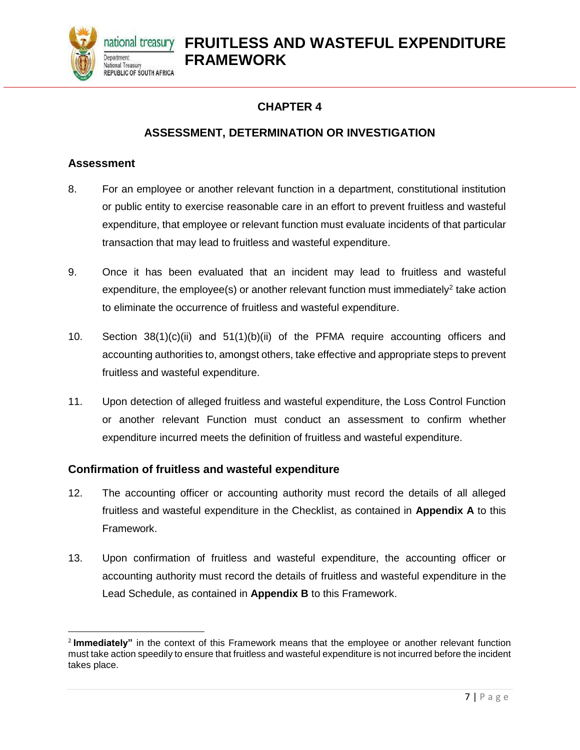<span id="page-6-0"></span>

#### **ASSESSMENT, DETERMINATION OR INVESTIGATION**

#### <span id="page-6-2"></span><span id="page-6-1"></span>**Assessment**

 $\overline{\phantom{a}}$ 

- 8. For an employee or another relevant function in a department, constitutional institution or public entity to exercise reasonable care in an effort to prevent fruitless and wasteful expenditure, that employee or relevant function must evaluate incidents of that particular transaction that may lead to fruitless and wasteful expenditure.
- 9. Once it has been evaluated that an incident may lead to fruitless and wasteful expenditure, the employee(s) or another relevant function must immediately<sup>2</sup> take action to eliminate the occurrence of fruitless and wasteful expenditure.
- 10. Section 38(1)(c)(ii) and 51(1)(b)(ii) of the PFMA require accounting officers and accounting authorities to, amongst others, take effective and appropriate steps to prevent fruitless and wasteful expenditure.
- 11. Upon detection of alleged fruitless and wasteful expenditure, the Loss Control Function or another relevant Function must conduct an assessment to confirm whether expenditure incurred meets the definition of fruitless and wasteful expenditure.

#### <span id="page-6-3"></span>**Confirmation of fruitless and wasteful expenditure**

- 12. The accounting officer or accounting authority must record the details of all alleged fruitless and wasteful expenditure in the Checklist, as contained in **Appendix A** to this Framework.
- 13. Upon confirmation of fruitless and wasteful expenditure, the accounting officer or accounting authority must record the details of fruitless and wasteful expenditure in the Lead Schedule, as contained in **Appendix B** to this Framework.

<sup>2</sup> **Immediately"** in the context of this Framework means that the employee or another relevant function must take action speedily to ensure that fruitless and wasteful expenditure is not incurred before the incident takes place.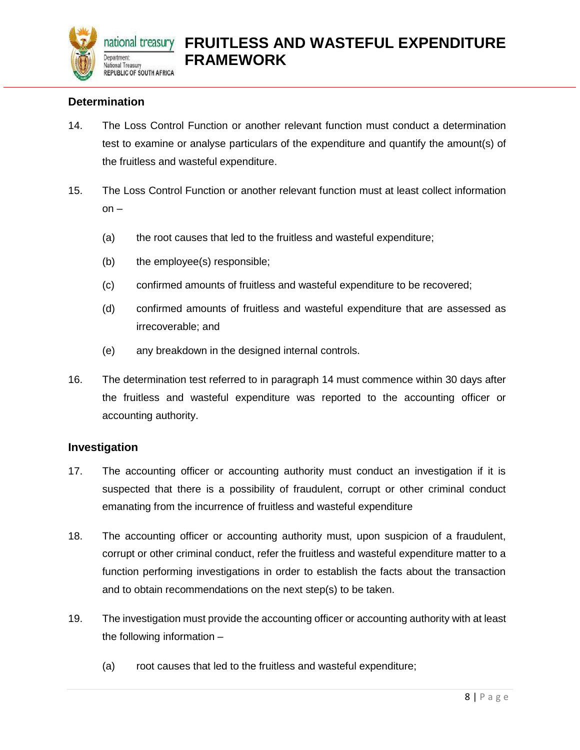

#### <span id="page-7-0"></span>**Determination**

- 14. The Loss Control Function or another relevant function must conduct a determination test to examine or analyse particulars of the expenditure and quantify the amount(s) of the fruitless and wasteful expenditure.
- 15. The Loss Control Function or another relevant function must at least collect information on –
	- (a) the root causes that led to the fruitless and wasteful expenditure;
	- (b) the employee(s) responsible;
	- (c) confirmed amounts of fruitless and wasteful expenditure to be recovered;
	- (d) confirmed amounts of fruitless and wasteful expenditure that are assessed as irrecoverable; and
	- (e) any breakdown in the designed internal controls.
- 16. The determination test referred to in paragraph 14 must commence within 30 days after the fruitless and wasteful expenditure was reported to the accounting officer or accounting authority.

#### <span id="page-7-1"></span>**Investigation**

- 17. The accounting officer or accounting authority must conduct an investigation if it is suspected that there is a possibility of fraudulent, corrupt or other criminal conduct emanating from the incurrence of fruitless and wasteful expenditure
- 18. The accounting officer or accounting authority must, upon suspicion of a fraudulent, corrupt or other criminal conduct, refer the fruitless and wasteful expenditure matter to a function performing investigations in order to establish the facts about the transaction and to obtain recommendations on the next step(s) to be taken.
- 19. The investigation must provide the accounting officer or accounting authority with at least the following information –
	- (a) root causes that led to the fruitless and wasteful expenditure;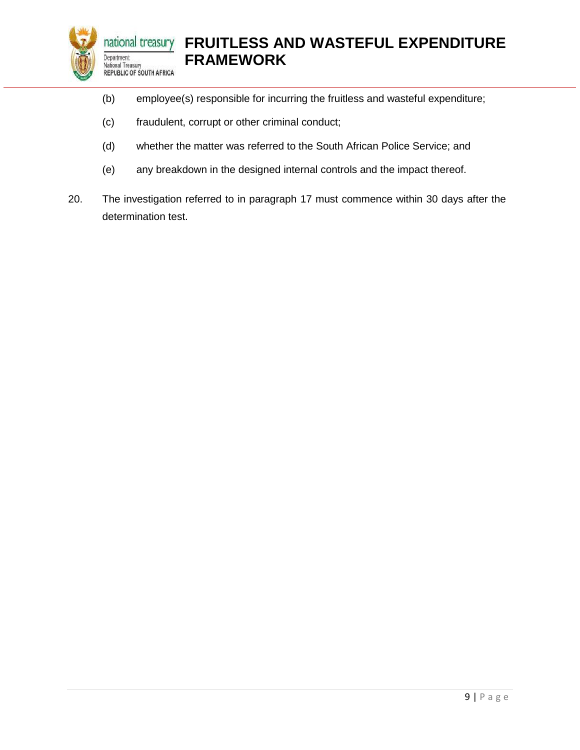

- (b) employee(s) responsible for incurring the fruitless and wasteful expenditure;
- (c) fraudulent, corrupt or other criminal conduct;
- (d) whether the matter was referred to the South African Police Service; and
- (e) any breakdown in the designed internal controls and the impact thereof.
- 20. The investigation referred to in paragraph 17 must commence within 30 days after the determination test.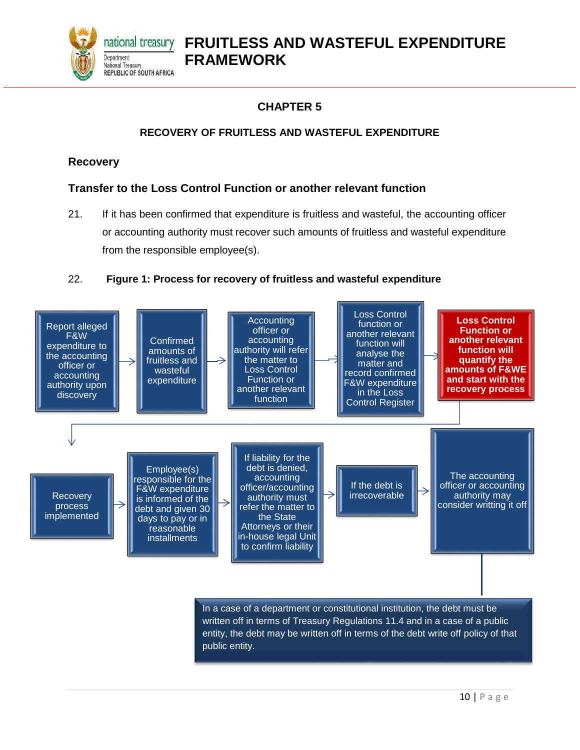

#### **CHAPTER 5**

#### **RECOVERY OF FRUITLESS AND WASTEFUL EXPENDITURE**

#### <span id="page-9-2"></span><span id="page-9-1"></span><span id="page-9-0"></span>**Recovery**

#### <span id="page-9-3"></span>**Transfer to the Loss Control Function or another relevant function**

21. If it has been confirmed that expenditure is fruitless and wasteful, the accounting officer or accounting authority must recover such amounts of fruitless and wasteful expenditure from the responsible employee(s).

#### 22. **Figure 1: Process for recovery of fruitless and wasteful expenditure**

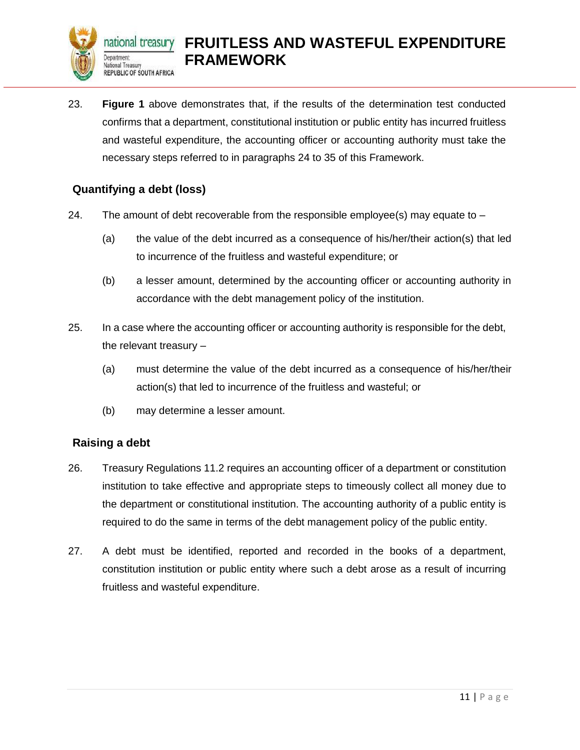

23. **Figure 1** above demonstrates that, if the results of the determination test conducted confirms that a department, constitutional institution or public entity has incurred fruitless and wasteful expenditure, the accounting officer or accounting authority must take the necessary steps referred to in paragraphs 24 to 35 of this Framework.

#### <span id="page-10-0"></span>**Quantifying a debt (loss)**

- 24. The amount of debt recoverable from the responsible employee(s) may equate to  $-$ 
	- (a) the value of the debt incurred as a consequence of his/her/their action(s) that led to incurrence of the fruitless and wasteful expenditure; or
	- (b) a lesser amount, determined by the accounting officer or accounting authority in accordance with the debt management policy of the institution.
- 25. In a case where the accounting officer or accounting authority is responsible for the debt, the relevant treasury –
	- (a) must determine the value of the debt incurred as a consequence of his/her/their action(s) that led to incurrence of the fruitless and wasteful; or
	- (b) may determine a lesser amount.

#### <span id="page-10-1"></span>**Raising a debt**

- 26. Treasury Regulations 11.2 requires an accounting officer of a department or constitution institution to take effective and appropriate steps to timeously collect all money due to the department or constitutional institution. The accounting authority of a public entity is required to do the same in terms of the debt management policy of the public entity.
- 27. A debt must be identified, reported and recorded in the books of a department, constitution institution or public entity where such a debt arose as a result of incurring fruitless and wasteful expenditure.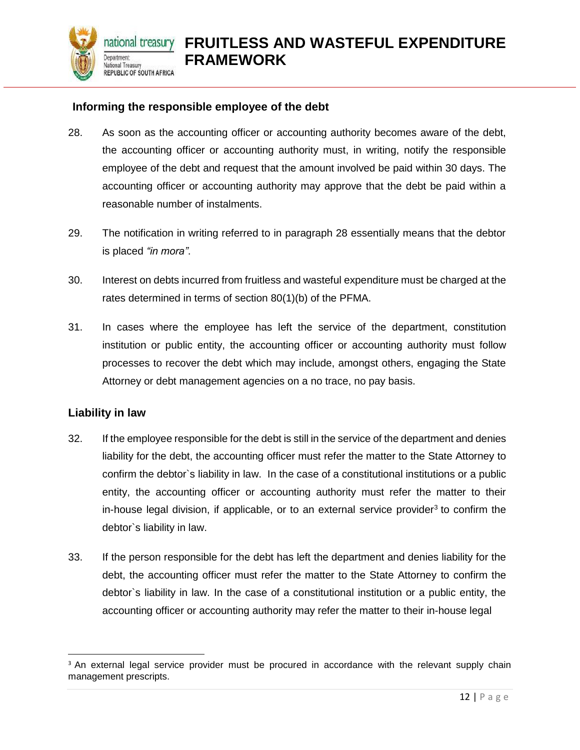

#### <span id="page-11-0"></span>**Informing the responsible employee of the debt**

- 28. As soon as the accounting officer or accounting authority becomes aware of the debt, the accounting officer or accounting authority must, in writing, notify the responsible employee of the debt and request that the amount involved be paid within 30 days. The accounting officer or accounting authority may approve that the debt be paid within a reasonable number of instalments.
- 29. The notification in writing referred to in paragraph 28 essentially means that the debtor is placed *"in mora"*.
- 30. Interest on debts incurred from fruitless and wasteful expenditure must be charged at the rates determined in terms of section 80(1)(b) of the PFMA.
- 31. In cases where the employee has left the service of the department, constitution institution or public entity, the accounting officer or accounting authority must follow processes to recover the debt which may include, amongst others, engaging the State Attorney or debt management agencies on a no trace, no pay basis.

#### <span id="page-11-1"></span>**Liability in law**

- 32. If the employee responsible for the debt is still in the service of the department and denies liability for the debt, the accounting officer must refer the matter to the State Attorney to confirm the debtor`s liability in law. In the case of a constitutional institutions or a public entity, the accounting officer or accounting authority must refer the matter to their in-house legal division, if applicable, or to an external service provider<sup>3</sup> to confirm the debtor`s liability in law.
- 33. If the person responsible for the debt has left the department and denies liability for the debt, the accounting officer must refer the matter to the State Attorney to confirm the debtor`s liability in law. In the case of a constitutional institution or a public entity, the accounting officer or accounting authority may refer the matter to their in-house legal

l <sup>3</sup> An external legal service provider must be procured in accordance with the relevant supply chain management prescripts.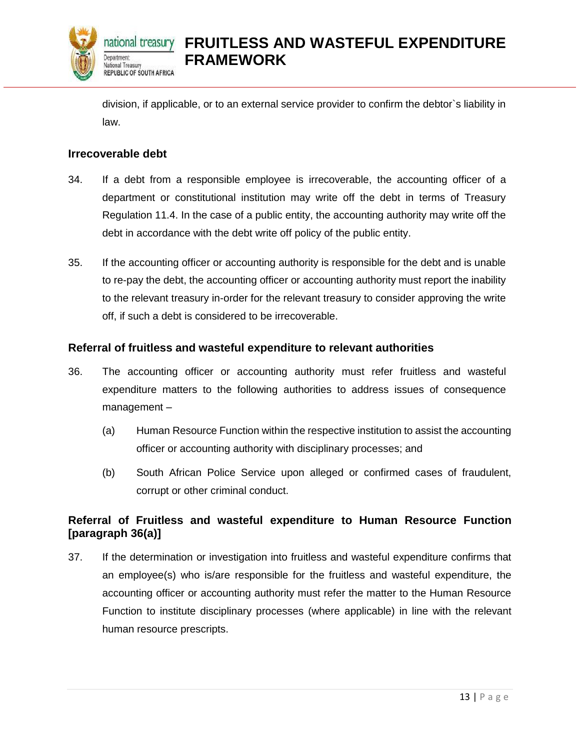

division, if applicable, or to an external service provider to confirm the debtor`s liability in law.

#### <span id="page-12-0"></span>**Irrecoverable debt**

- 34. If a debt from a responsible employee is irrecoverable, the accounting officer of a department or constitutional institution may write off the debt in terms of Treasury Regulation 11.4. In the case of a public entity, the accounting authority may write off the debt in accordance with the debt write off policy of the public entity.
- 35. If the accounting officer or accounting authority is responsible for the debt and is unable to re-pay the debt, the accounting officer or accounting authority must report the inability to the relevant treasury in-order for the relevant treasury to consider approving the write off, if such a debt is considered to be irrecoverable.

#### <span id="page-12-1"></span>**Referral of fruitless and wasteful expenditure to relevant authorities**

- 36. The accounting officer or accounting authority must refer fruitless and wasteful expenditure matters to the following authorities to address issues of consequence management –
	- (a) Human Resource Function within the respective institution to assist the accounting officer or accounting authority with disciplinary processes; and
	- (b) South African Police Service upon alleged or confirmed cases of fraudulent, corrupt or other criminal conduct.

#### **Referral of Fruitless and wasteful expenditure to Human Resource Function [paragraph 36(a)]**

37. If the determination or investigation into fruitless and wasteful expenditure confirms that an employee(s) who is/are responsible for the fruitless and wasteful expenditure, the accounting officer or accounting authority must refer the matter to the Human Resource Function to institute disciplinary processes (where applicable) in line with the relevant human resource prescripts.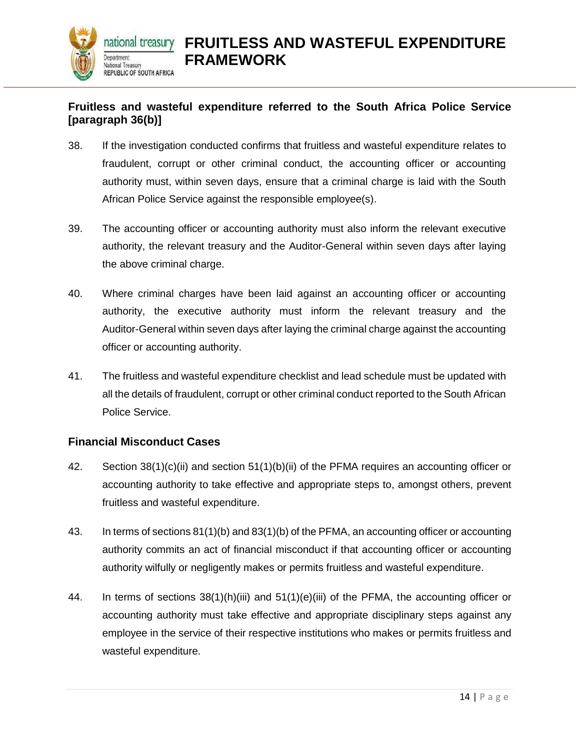

#### <span id="page-13-0"></span>**Fruitless and wasteful expenditure referred to the South Africa Police Service [paragraph 36(b)]**

- 38. If the investigation conducted confirms that fruitless and wasteful expenditure relates to fraudulent, corrupt or other criminal conduct, the accounting officer or accounting authority must, within seven days, ensure that a criminal charge is laid with the South African Police Service against the responsible employee(s).
- 39. The accounting officer or accounting authority must also inform the relevant executive authority, the relevant treasury and the Auditor-General within seven days after laying the above criminal charge.
- 40. Where criminal charges have been laid against an accounting officer or accounting authority, the executive authority must inform the relevant treasury and the Auditor-General within seven days after laying the criminal charge against the accounting officer or accounting authority.
- 41. The fruitless and wasteful expenditure checklist and lead schedule must be updated with all the details of fraudulent, corrupt or other criminal conduct reported to the South African Police Service.

#### **Financial Misconduct Cases**

- 42. Section 38(1)(c)(ii) and section 51(1)(b)(ii) of the PFMA requires an accounting officer or accounting authority to take effective and appropriate steps to, amongst others, prevent fruitless and wasteful expenditure.
- 43. In terms of sections 81(1)(b) and 83(1)(b) of the PFMA, an accounting officer or accounting authority commits an act of financial misconduct if that accounting officer or accounting authority wilfully or negligently makes or permits fruitless and wasteful expenditure.
- 44. In terms of sections 38(1)(h)(iii) and 51(1)(e)(iii) of the PFMA, the accounting officer or accounting authority must take effective and appropriate disciplinary steps against any employee in the service of their respective institutions who makes or permits fruitless and wasteful expenditure.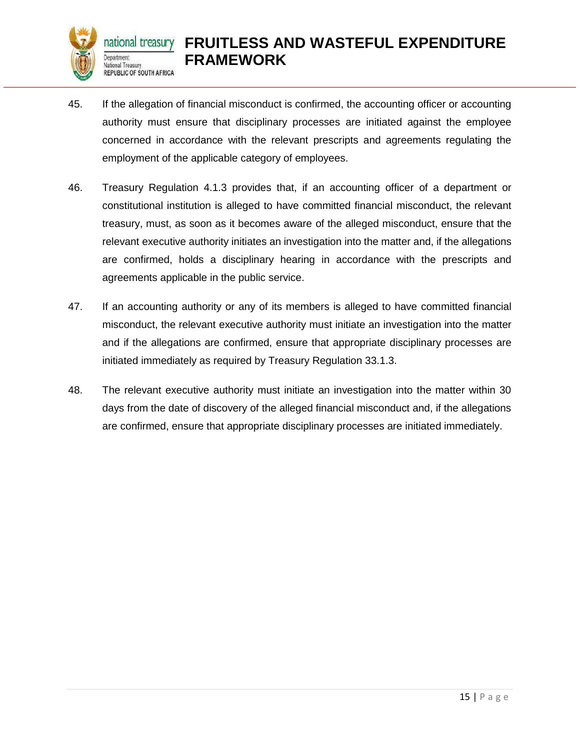

- 45. If the allegation of financial misconduct is confirmed, the accounting officer or accounting authority must ensure that disciplinary processes are initiated against the employee concerned in accordance with the relevant prescripts and agreements regulating the employment of the applicable category of employees.
- 46. Treasury Regulation 4.1.3 provides that, if an accounting officer of a department or constitutional institution is alleged to have committed financial misconduct, the relevant treasury, must, as soon as it becomes aware of the alleged misconduct, ensure that the relevant executive authority initiates an investigation into the matter and, if the allegations are confirmed, holds a disciplinary hearing in accordance with the prescripts and agreements applicable in the public service.
- 47. If an accounting authority or any of its members is alleged to have committed financial misconduct, the relevant executive authority must initiate an investigation into the matter and if the allegations are confirmed, ensure that appropriate disciplinary processes are initiated immediately as required by Treasury Regulation 33.1.3.
- 48. The relevant executive authority must initiate an investigation into the matter within 30 days from the date of discovery of the alleged financial misconduct and, if the allegations are confirmed, ensure that appropriate disciplinary processes are initiated immediately.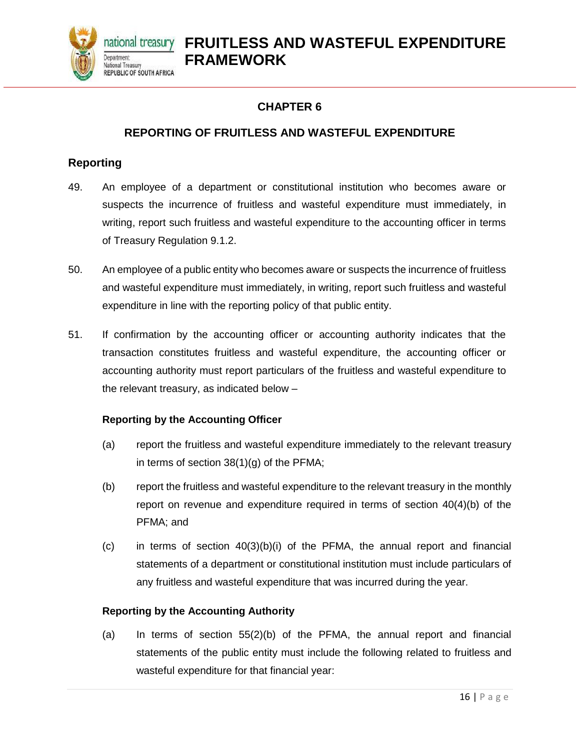

#### **REPORTING OF FRUITLESS AND WASTEFUL EXPENDITURE**

#### <span id="page-15-2"></span><span id="page-15-1"></span><span id="page-15-0"></span>**Reporting**

- 49. An employee of a department or constitutional institution who becomes aware or suspects the incurrence of fruitless and wasteful expenditure must immediately, in writing, report such fruitless and wasteful expenditure to the accounting officer in terms of Treasury Regulation 9.1.2.
- 50. An employee of a public entity who becomes aware or suspects the incurrence of fruitless and wasteful expenditure must immediately, in writing, report such fruitless and wasteful expenditure in line with the reporting policy of that public entity.
- 51. If confirmation by the accounting officer or accounting authority indicates that the transaction constitutes fruitless and wasteful expenditure, the accounting officer or accounting authority must report particulars of the fruitless and wasteful expenditure to the relevant treasury, as indicated below –

#### <span id="page-15-3"></span>**Reporting by the Accounting Officer**

- (a) report the fruitless and wasteful expenditure immediately to the relevant treasury in terms of section 38(1)(g) of the PFMA;
- (b) report the fruitless and wasteful expenditure to the relevant treasury in the monthly report on revenue and expenditure required in terms of section 40(4)(b) of the PFMA; and
- $(c)$  in terms of section  $40(3)(b)(i)$  of the PFMA, the annual report and financial statements of a department or constitutional institution must include particulars of any fruitless and wasteful expenditure that was incurred during the year.

#### **Reporting by the Accounting Authority**

(a) In terms of section 55(2)(b) of the PFMA, the annual report and financial statements of the public entity must include the following related to fruitless and wasteful expenditure for that financial year: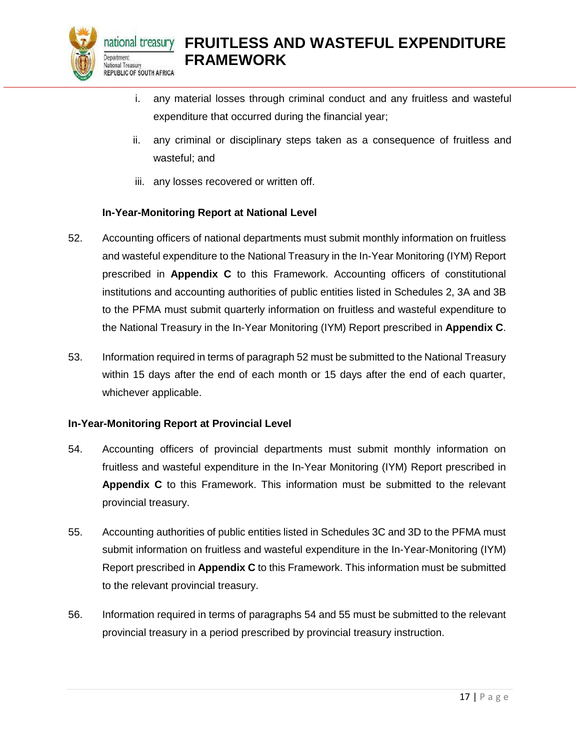

- i. any material losses through criminal conduct and any fruitless and wasteful expenditure that occurred during the financial year;
- ii. any criminal or disciplinary steps taken as a consequence of fruitless and wasteful; and
- iii. any losses recovered or written off.

#### **In-Year-Monitoring Report at National Level**

- <span id="page-16-0"></span>52. Accounting officers of national departments must submit monthly information on fruitless and wasteful expenditure to the National Treasury in the In-Year Monitoring (IYM) Report prescribed in **Appendix C** to this Framework. Accounting officers of constitutional institutions and accounting authorities of public entities listed in Schedules 2, 3A and 3B to the PFMA must submit quarterly information on fruitless and wasteful expenditure to the National Treasury in the In-Year Monitoring (IYM) Report prescribed in **Appendix C**.
- 53. Information required in terms of paragraph 52 must be submitted to the National Treasury within 15 days after the end of each month or 15 days after the end of each quarter, whichever applicable.

#### <span id="page-16-1"></span>**In-Year-Monitoring Report at Provincial Level**

- 54. Accounting officers of provincial departments must submit monthly information on fruitless and wasteful expenditure in the In-Year Monitoring (IYM) Report prescribed in **Appendix C** to this Framework. This information must be submitted to the relevant provincial treasury.
- 55. Accounting authorities of public entities listed in Schedules 3C and 3D to the PFMA must submit information on fruitless and wasteful expenditure in the In-Year-Monitoring (IYM) Report prescribed in **Appendix C** to this Framework. This information must be submitted to the relevant provincial treasury.
- 56. Information required in terms of paragraphs 54 and 55 must be submitted to the relevant provincial treasury in a period prescribed by provincial treasury instruction.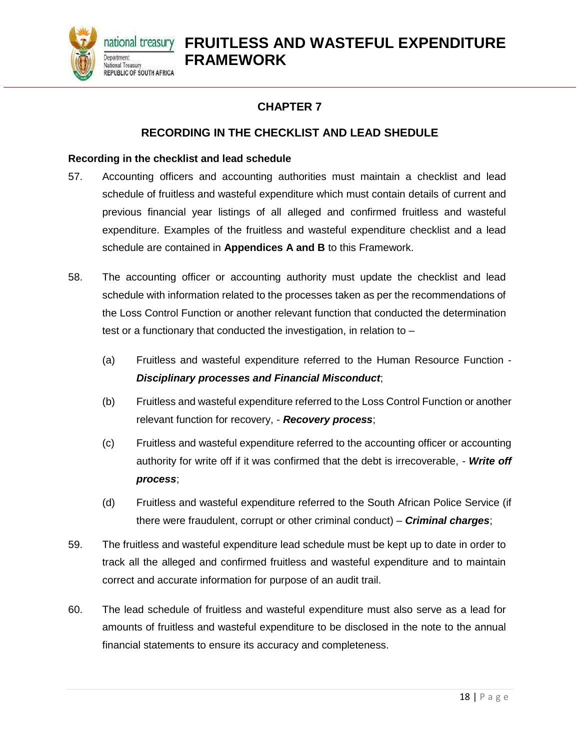

#### **CHAPTER 7**

#### **RECORDING IN THE CHECKLIST AND LEAD SHEDULE**

#### <span id="page-17-2"></span><span id="page-17-1"></span><span id="page-17-0"></span>**Recording in the checklist and lead schedule**

- 57. Accounting officers and accounting authorities must maintain a checklist and lead schedule of fruitless and wasteful expenditure which must contain details of current and previous financial year listings of all alleged and confirmed fruitless and wasteful expenditure. Examples of the fruitless and wasteful expenditure checklist and a lead schedule are contained in **Appendices A and B** to this Framework.
- 58. The accounting officer or accounting authority must update the checklist and lead schedule with information related to the processes taken as per the recommendations of the Loss Control Function or another relevant function that conducted the determination test or a functionary that conducted the investigation, in relation to –
	- (a) Fruitless and wasteful expenditure referred to the Human Resource Function *Disciplinary processes and Financial Misconduct*;
	- (b) Fruitless and wasteful expenditure referred to the Loss Control Function or another relevant function for recovery, - *Recovery process*;
	- (c) Fruitless and wasteful expenditure referred to the accounting officer or accounting authority for write off if it was confirmed that the debt is irrecoverable, - *Write off process*;
	- (d) Fruitless and wasteful expenditure referred to the South African Police Service (if there were fraudulent, corrupt or other criminal conduct) – *Criminal charges*;
- 59. The fruitless and wasteful expenditure lead schedule must be kept up to date in order to track all the alleged and confirmed fruitless and wasteful expenditure and to maintain correct and accurate information for purpose of an audit trail.
- 60. The lead schedule of fruitless and wasteful expenditure must also serve as a lead for amounts of fruitless and wasteful expenditure to be disclosed in the note to the annual financial statements to ensure its accuracy and completeness.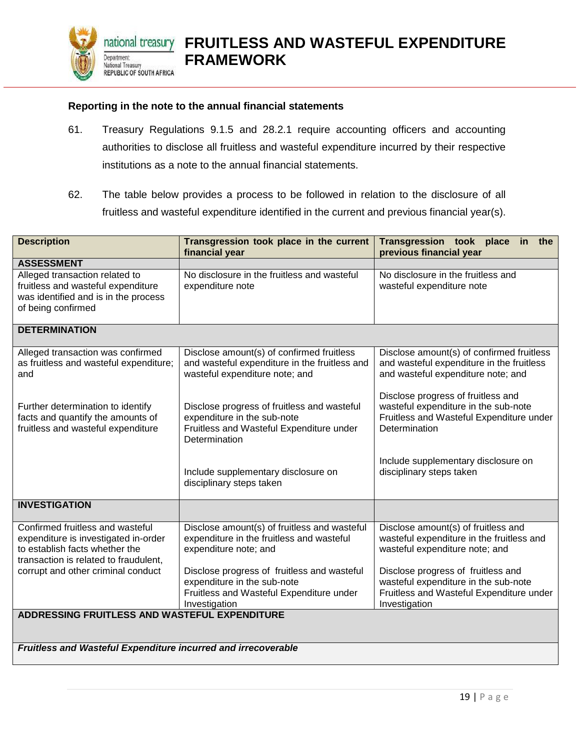

#### <span id="page-18-0"></span>**Reporting in the note to the annual financial statements**

- 61. Treasury Regulations 9.1.5 and 28.2.1 require accounting officers and accounting authorities to disclose all fruitless and wasteful expenditure incurred by their respective institutions as a note to the annual financial statements.
- 62. The table below provides a process to be followed in relation to the disclosure of all fruitless and wasteful expenditure identified in the current and previous financial year(s).

| <b>Description</b>                                                                                                                                                                        | Transgression took place in the current<br>financial year                                                                                                                                        | Transgression took place in the<br>previous financial year                                                                                                                                       |  |  |  |
|-------------------------------------------------------------------------------------------------------------------------------------------------------------------------------------------|--------------------------------------------------------------------------------------------------------------------------------------------------------------------------------------------------|--------------------------------------------------------------------------------------------------------------------------------------------------------------------------------------------------|--|--|--|
| <b>ASSESSMENT</b>                                                                                                                                                                         |                                                                                                                                                                                                  |                                                                                                                                                                                                  |  |  |  |
| Alleged transaction related to<br>fruitless and wasteful expenditure<br>was identified and is in the process<br>of being confirmed                                                        | No disclosure in the fruitless and wasteful<br>expenditure note                                                                                                                                  | No disclosure in the fruitless and<br>wasteful expenditure note                                                                                                                                  |  |  |  |
| <b>DETERMINATION</b>                                                                                                                                                                      |                                                                                                                                                                                                  |                                                                                                                                                                                                  |  |  |  |
| Alleged transaction was confirmed<br>as fruitless and wasteful expenditure;<br>and                                                                                                        | Disclose amount(s) of confirmed fruitless<br>and wasteful expenditure in the fruitless and<br>wasteful expenditure note; and                                                                     | Disclose amount(s) of confirmed fruitless<br>and wasteful expenditure in the fruitless<br>and wasteful expenditure note; and                                                                     |  |  |  |
| Further determination to identify<br>facts and quantify the amounts of<br>fruitless and wasteful expenditure                                                                              | Disclose progress of fruitless and wasteful<br>expenditure in the sub-note<br>Fruitless and Wasteful Expenditure under<br>Determination                                                          | Disclose progress of fruitless and<br>wasteful expenditure in the sub-note<br>Fruitless and Wasteful Expenditure under<br>Determination                                                          |  |  |  |
|                                                                                                                                                                                           | Include supplementary disclosure on<br>disciplinary steps taken                                                                                                                                  | Include supplementary disclosure on<br>disciplinary steps taken                                                                                                                                  |  |  |  |
| <b>INVESTIGATION</b>                                                                                                                                                                      |                                                                                                                                                                                                  |                                                                                                                                                                                                  |  |  |  |
| Confirmed fruitless and wasteful<br>expenditure is investigated in-order<br>to establish facts whether the<br>transaction is related to fraudulent,<br>corrupt and other criminal conduct | Disclose amount(s) of fruitless and wasteful<br>expenditure in the fruitless and wasteful<br>expenditure note; and<br>Disclose progress of fruitless and wasteful<br>expenditure in the sub-note | Disclose amount(s) of fruitless and<br>wasteful expenditure in the fruitless and<br>wasteful expenditure note; and<br>Disclose progress of fruitless and<br>wasteful expenditure in the sub-note |  |  |  |
|                                                                                                                                                                                           | Fruitless and Wasteful Expenditure under<br>Investigation                                                                                                                                        | Fruitless and Wasteful Expenditure under<br>Investigation                                                                                                                                        |  |  |  |
| ADDRESSING FRUITLESS AND WASTEFUL EXPENDITURE                                                                                                                                             |                                                                                                                                                                                                  |                                                                                                                                                                                                  |  |  |  |

*Fruitless and Wasteful Expenditure incurred and irrecoverable*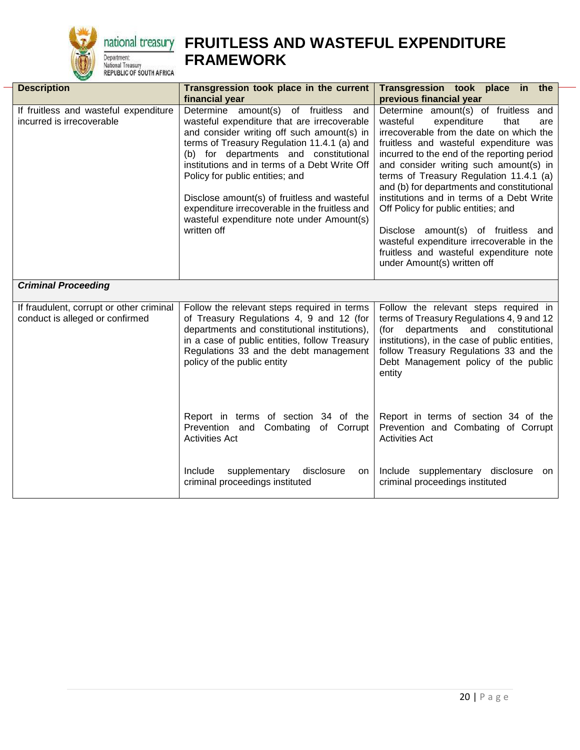

## **<u>national treasury</u>** FRUITLESS AND WASTEFUL EXPENDITURE **FRAMEWORK**

| <b>Description</b>                                                          | Transgression took place in the current<br>financial year                                                                                                                                                                                                                                                                                                                                                                                                                    | Transgression took place in the                                                                                                                                                                                                                                                                                                                                                                                                                                                                                                                                                                                                     |  |  |  |  |
|-----------------------------------------------------------------------------|------------------------------------------------------------------------------------------------------------------------------------------------------------------------------------------------------------------------------------------------------------------------------------------------------------------------------------------------------------------------------------------------------------------------------------------------------------------------------|-------------------------------------------------------------------------------------------------------------------------------------------------------------------------------------------------------------------------------------------------------------------------------------------------------------------------------------------------------------------------------------------------------------------------------------------------------------------------------------------------------------------------------------------------------------------------------------------------------------------------------------|--|--|--|--|
| If fruitless and wasteful expenditure<br>incurred is irrecoverable          | Determine amount(s) of fruitless and<br>wasteful expenditure that are irrecoverable<br>and consider writing off such amount(s) in<br>terms of Treasury Regulation 11.4.1 (a) and<br>(b) for departments and constitutional<br>institutions and in terms of a Debt Write Off<br>Policy for public entities; and<br>Disclose amount(s) of fruitless and wasteful<br>expenditure irrecoverable in the fruitless and<br>wasteful expenditure note under Amount(s)<br>written off | previous financial year<br>Determine amount(s) of fruitless and<br>wasteful<br>expenditure<br>that<br>are<br>irrecoverable from the date on which the<br>fruitless and wasteful expenditure was<br>incurred to the end of the reporting period<br>and consider writing such amount(s) in<br>terms of Treasury Regulation 11.4.1 (a)<br>and (b) for departments and constitutional<br>institutions and in terms of a Debt Write<br>Off Policy for public entities; and<br>Disclose amount(s) of fruitless and<br>wasteful expenditure irrecoverable in the<br>fruitless and wasteful expenditure note<br>under Amount(s) written off |  |  |  |  |
| <b>Criminal Proceeding</b>                                                  |                                                                                                                                                                                                                                                                                                                                                                                                                                                                              |                                                                                                                                                                                                                                                                                                                                                                                                                                                                                                                                                                                                                                     |  |  |  |  |
| If fraudulent, corrupt or other criminal<br>conduct is alleged or confirmed | Follow the relevant steps required in terms<br>of Treasury Regulations 4, 9 and 12 (for<br>departments and constitutional institutions),<br>in a case of public entities, follow Treasury<br>Regulations 33 and the debt management<br>policy of the public entity                                                                                                                                                                                                           | Follow the relevant steps required in<br>terms of Treasury Regulations 4, 9 and 12<br>departments and constitutional<br>(for<br>institutions), in the case of public entities,<br>follow Treasury Regulations 33 and the<br>Debt Management policy of the public<br>entity                                                                                                                                                                                                                                                                                                                                                          |  |  |  |  |
|                                                                             | Report in terms of section 34 of the<br>Prevention and<br>Combating<br>of Corrupt<br><b>Activities Act</b>                                                                                                                                                                                                                                                                                                                                                                   | Report in terms of section 34 of the<br>Prevention and Combating of Corrupt<br><b>Activities Act</b>                                                                                                                                                                                                                                                                                                                                                                                                                                                                                                                                |  |  |  |  |
|                                                                             | supplementary<br>disclosure<br>Include<br>on.<br>criminal proceedings instituted                                                                                                                                                                                                                                                                                                                                                                                             | Include supplementary disclosure<br>on<br>criminal proceedings instituted                                                                                                                                                                                                                                                                                                                                                                                                                                                                                                                                                           |  |  |  |  |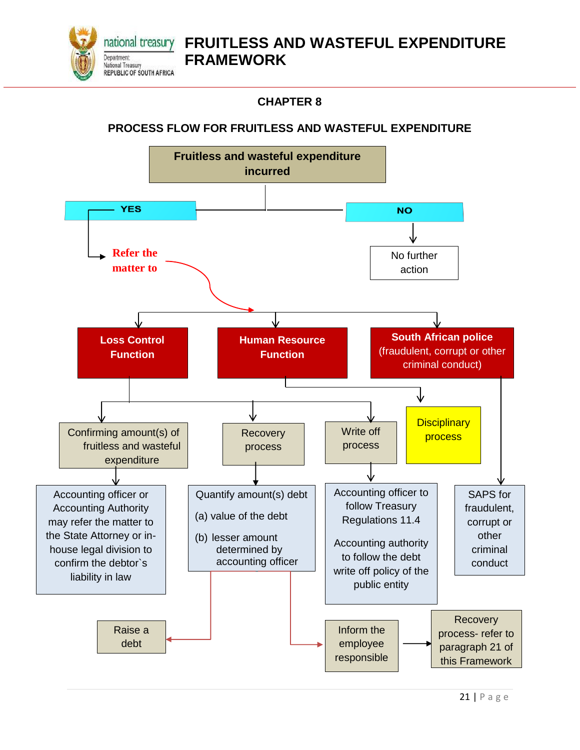

#### **CHAPTER 8**

#### <span id="page-20-1"></span><span id="page-20-0"></span>**PROCESS FLOW FOR FRUITLESS AND WASTEFUL EXPENDITURE**

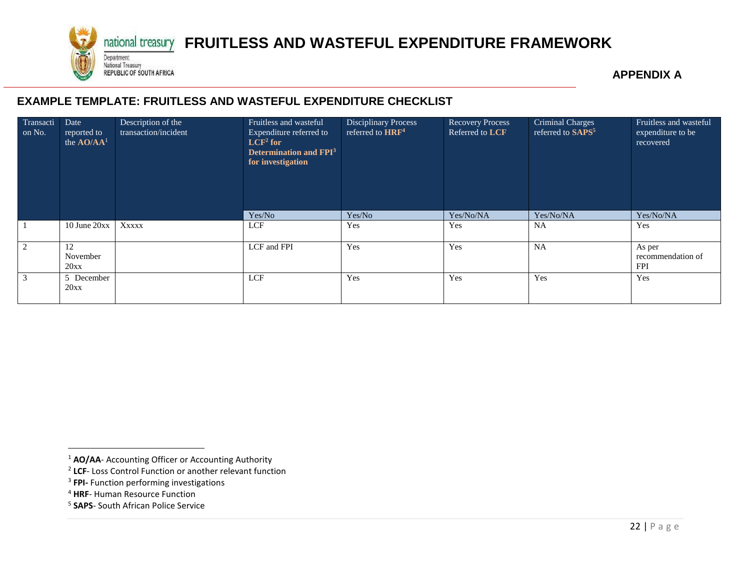

## national treasury **FRUITLESS AND WASTEFUL EXPENDITURE FRAMEWORK**

**APPENDIX A**

#### **EXAMPLE TEMPLATE: FRUITLESS AND WASTEFUL EXPENDITURE CHECKLIST**

<span id="page-21-1"></span><span id="page-21-0"></span>

| Transacti<br>on No. | Date<br>reported to<br>the AO/AA <sup>1</sup> | Description of the<br>transaction/incident | Fruitless and wasteful<br>Expenditure referred to<br>$LCF2$ for<br><b>Determination and FPI</b> <sup>3</sup><br>for investigation | <b>Disciplinary Process</b><br>referred to HRF <sup>4</sup> | <b>Recovery Process</b><br>Referred to LCF | Criminal Charges<br>referred to SAPS <sup>5</sup> | Fruitless and wasteful<br>expenditure to be<br>recovered |
|---------------------|-----------------------------------------------|--------------------------------------------|-----------------------------------------------------------------------------------------------------------------------------------|-------------------------------------------------------------|--------------------------------------------|---------------------------------------------------|----------------------------------------------------------|
|                     |                                               |                                            | Yes/No                                                                                                                            | Yes/No                                                      | Yes/No/NA                                  | Yes/No/NA                                         | Yes/No/NA                                                |
|                     | $10$ June $20xx$                              | XXXXX                                      | LCF                                                                                                                               | Yes                                                         | Yes                                        | NA                                                | Yes                                                      |
| 2                   | 12<br>November<br>20xx                        | LCF and FPI                                |                                                                                                                                   | Yes                                                         | Yes                                        | <b>NA</b>                                         | As per<br>recommendation of<br><b>FPI</b>                |
| 3                   | LCF<br>5 December<br>20xx                     |                                            |                                                                                                                                   | Yes                                                         | Yes                                        | Yes                                               | Yes                                                      |

l

<sup>&</sup>lt;sup>1</sup> **AO/AA**- Accounting Officer or Accounting Authority

<sup>2</sup> **LCF**- Loss Control Function or another relevant function

<sup>3</sup> **FPI-** Function performing investigations

<sup>4</sup> **HRF**- Human Resource Function

<sup>5</sup> **SAPS**- South African Police Service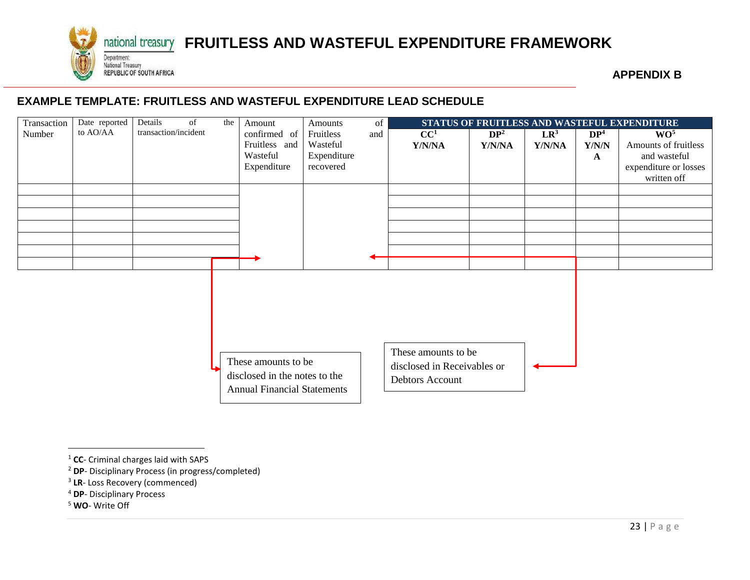

## national treasury **FRUITLESS AND WASTEFUL EXPENDITURE FRAMEWORK**

**APPENDIX B**

#### **EXAMPLE TEMPLATE: FRUITLESS AND WASTEFUL EXPENDITURE LEAD SCHEDULE**

<span id="page-22-1"></span><span id="page-22-0"></span>

| Transaction | Date reported | Details              | of<br>the | Amount                                                                                     | Amounts     | of  | STATUS OF FRUITLESS AND WASTEFUL EXPENDITURE                          |                 |        |                 |                       |
|-------------|---------------|----------------------|-----------|--------------------------------------------------------------------------------------------|-------------|-----|-----------------------------------------------------------------------|-----------------|--------|-----------------|-----------------------|
| Number      | to AO/AA      | transaction/incident |           | confirmed of                                                                               | Fruitless   | and | CC <sup>1</sup>                                                       | DP <sup>2</sup> | $LR^3$ | DP <sup>4</sup> | WO <sup>5</sup>       |
|             |               |                      |           | Fruitless and                                                                              | Wasteful    |     | Y/N/NA                                                                | Y/N/NA          | Y/N/NA | Y/N/N           | Amounts of fruitless  |
|             |               |                      |           | Wasteful                                                                                   | Expenditure |     |                                                                       |                 |        | $\mathbf{A}$    | and wasteful          |
|             |               |                      |           | Expenditure                                                                                | recovered   |     |                                                                       |                 |        |                 | expenditure or losses |
|             |               |                      |           |                                                                                            |             |     |                                                                       |                 |        |                 | written off           |
|             |               |                      |           |                                                                                            |             |     |                                                                       |                 |        |                 |                       |
|             |               |                      |           |                                                                                            |             |     |                                                                       |                 |        |                 |                       |
|             |               |                      |           |                                                                                            |             |     |                                                                       |                 |        |                 |                       |
|             |               |                      |           |                                                                                            |             |     |                                                                       |                 |        |                 |                       |
|             |               |                      |           |                                                                                            |             |     |                                                                       |                 |        |                 |                       |
|             |               |                      |           |                                                                                            |             |     |                                                                       |                 |        |                 |                       |
|             |               |                      |           |                                                                                            |             |     |                                                                       |                 |        |                 |                       |
|             |               |                      |           | These amounts to be<br>disclosed in the notes to the<br><b>Annual Financial Statements</b> |             |     | These amounts to be<br>disclosed in Receivables or<br>Debtors Account |                 |        |                 |                       |

<sup>5</sup> **WO**- Write Off

l

<sup>1</sup> **CC**- Criminal charges laid with SAPS

<sup>2</sup> **DP**- Disciplinary Process (in progress/completed)

<sup>3</sup> **LR**- Loss Recovery (commenced)

<sup>4</sup> **DP**- Disciplinary Process